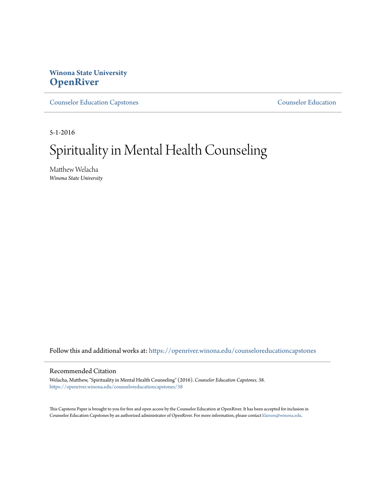# **Winona State University [OpenRiver](https://openriver.winona.edu?utm_source=openriver.winona.edu%2Fcounseloreducationcapstones%2F38&utm_medium=PDF&utm_campaign=PDFCoverPages)**

[Counselor Education Capstones](https://openriver.winona.edu/counseloreducationcapstones?utm_source=openriver.winona.edu%2Fcounseloreducationcapstones%2F38&utm_medium=PDF&utm_campaign=PDFCoverPages) [Counselor Education](https://openriver.winona.edu/counseloreducation?utm_source=openriver.winona.edu%2Fcounseloreducationcapstones%2F38&utm_medium=PDF&utm_campaign=PDFCoverPages)

5-1-2016

# Spirituality in Mental Health Counseling

Matthew Welacha *Winona State University*

Follow this and additional works at: [https://openriver.winona.edu/counseloreducationcapstones](https://openriver.winona.edu/counseloreducationcapstones?utm_source=openriver.winona.edu%2Fcounseloreducationcapstones%2F38&utm_medium=PDF&utm_campaign=PDFCoverPages)

#### Recommended Citation

Welacha, Matthew, "Spirituality in Mental Health Counseling" (2016). *Counselor Education Capstones*. 38. [https://openriver.winona.edu/counseloreducationcapstones/38](https://openriver.winona.edu/counseloreducationcapstones/38?utm_source=openriver.winona.edu%2Fcounseloreducationcapstones%2F38&utm_medium=PDF&utm_campaign=PDFCoverPages)

This Capstone Paper is brought to you for free and open access by the Counselor Education at OpenRiver. It has been accepted for inclusion in Counselor Education Capstones by an authorized administrator of OpenRiver. For more information, please contact [klarson@winona.edu](mailto:klarson@winona.edu).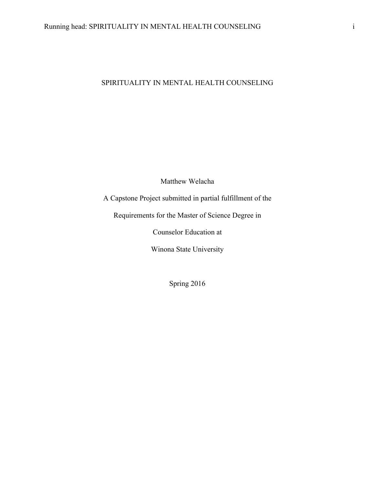# SPIRITUALITY IN MENTAL HEALTH COUNSELING

Matthew Welacha

A Capstone Project submitted in partial fulfillment of the

Requirements for the Master of Science Degree in

Counselor Education at

Winona State University

Spring 2016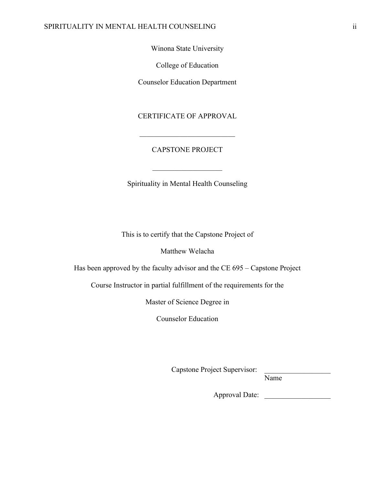### SPIRITUALITY IN MENTAL HEALTH COUNSELING ii

Winona State University

College of Education

Counselor Education Department

## CERTIFICATE OF APPROVAL

## CAPSTONE PROJECT

 $\mathcal{L}_\text{max}$ 

 $\mathcal{L}_\text{max}$  , where  $\mathcal{L}_\text{max}$  and  $\mathcal{L}_\text{max}$ 

Spirituality in Mental Health Counseling

This is to certify that the Capstone Project of

Matthew Welacha

Has been approved by the faculty advisor and the CE 695 – Capstone Project

Course Instructor in partial fulfillment of the requirements for the

Master of Science Degree in

Counselor Education

Capstone Project Supervisor: \_\_\_\_\_\_\_\_\_\_\_\_\_\_\_\_\_\_

Name

Approval Date: \_\_\_\_\_\_\_\_\_\_\_\_\_\_\_\_\_\_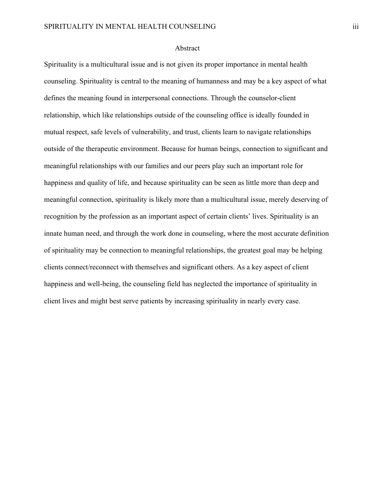#### Abstract

Spirituality is a multicultural issue and is not given its proper importance in mental health counseling. Spirituality is central to the meaning of humanness and may be a key aspect of what defines the meaning found in interpersonal connections. Through the counselor-client relationship, which like relationships outside of the counseling office is ideally founded in mutual respect, safe levels of vulnerability, and trust, clients learn to navigate relationships outside of the therapeutic environment. Because for human beings, connection to significant and meaningful relationships with our families and our peers play such an important role for happiness and quality of life, and because spirituality can be seen as little more than deep and meaningful connection, spirituality is likely more than a multicultural issue, merely deserving of recognition by the profession as an important aspect of certain clients' lives. Spirituality is an innate human need, and through the work done in counseling, where the most accurate definition of spirituality may be connection to meaningful relationships, the greatest goal may be helping clients connect/reconnect with themselves and significant others. As a key aspect of client happiness and well-being, the counseling field has neglected the importance of spirituality in client lives and might best serve patients by increasing spirituality in nearly every case.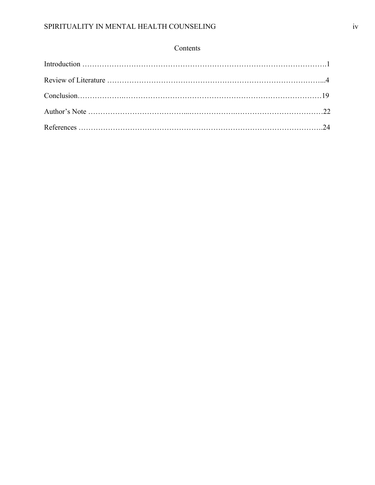## Contents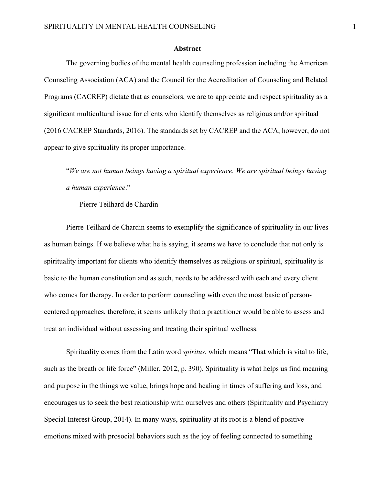#### **Abstract**

The governing bodies of the mental health counseling profession including the American Counseling Association (ACA) and the Council for the Accreditation of Counseling and Related Programs (CACREP) dictate that as counselors, we are to appreciate and respect spirituality as a significant multicultural issue for clients who identify themselves as religious and/or spiritual (2016 CACREP Standards, 2016). The standards set by CACREP and the ACA, however, do not appear to give spirituality its proper importance.

"*We are not human beings having a spiritual experience. We are spiritual beings having a human experience*."

- Pierre Teilhard de Chardin

Pierre Teilhard de Chardin seems to exemplify the significance of spirituality in our lives as human beings. If we believe what he is saying, it seems we have to conclude that not only is spirituality important for clients who identify themselves as religious or spiritual, spirituality is basic to the human constitution and as such, needs to be addressed with each and every client who comes for therapy. In order to perform counseling with even the most basic of personcentered approaches, therefore, it seems unlikely that a practitioner would be able to assess and treat an individual without assessing and treating their spiritual wellness.

Spirituality comes from the Latin word *spiritus*, which means "That which is vital to life, such as the breath or life force" (Miller, 2012, p. 390). Spirituality is what helps us find meaning and purpose in the things we value, brings hope and healing in times of suffering and loss, and encourages us to seek the best relationship with ourselves and others (Spirituality and Psychiatry Special Interest Group, 2014). In many ways, spirituality at its root is a blend of positive emotions mixed with prosocial behaviors such as the joy of feeling connected to something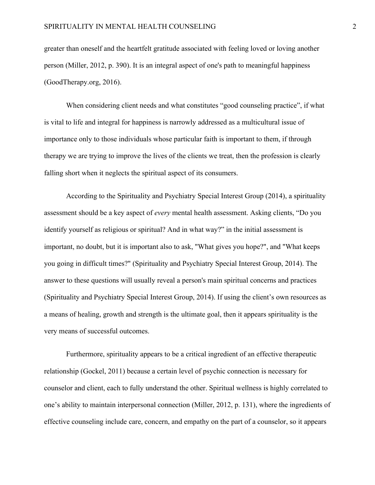greater than oneself and the heartfelt gratitude associated with feeling loved or loving another person (Miller, 2012, p. 390). It is an integral aspect of one's path to meaningful happiness (GoodTherapy.org, 2016).

When considering client needs and what constitutes "good counseling practice", if what is vital to life and integral for happiness is narrowly addressed as a multicultural issue of importance only to those individuals whose particular faith is important to them, if through therapy we are trying to improve the lives of the clients we treat, then the profession is clearly falling short when it neglects the spiritual aspect of its consumers.

According to the Spirituality and Psychiatry Special Interest Group (2014), a spirituality assessment should be a key aspect of *every* mental health assessment. Asking clients, "Do you identify yourself as religious or spiritual? And in what way?" in the initial assessment is important, no doubt, but it is important also to ask, "What gives you hope?", and "What keeps you going in difficult times?" (Spirituality and Psychiatry Special Interest Group, 2014). The answer to these questions will usually reveal a person's main spiritual concerns and practices (Spirituality and Psychiatry Special Interest Group, 2014). If using the client's own resources as a means of healing, growth and strength is the ultimate goal, then it appears spirituality is the very means of successful outcomes.

Furthermore, spirituality appears to be a critical ingredient of an effective therapeutic relationship (Gockel, 2011) because a certain level of psychic connection is necessary for counselor and client, each to fully understand the other. Spiritual wellness is highly correlated to one's ability to maintain interpersonal connection (Miller, 2012, p. 131), where the ingredients of effective counseling include care, concern, and empathy on the part of a counselor, so it appears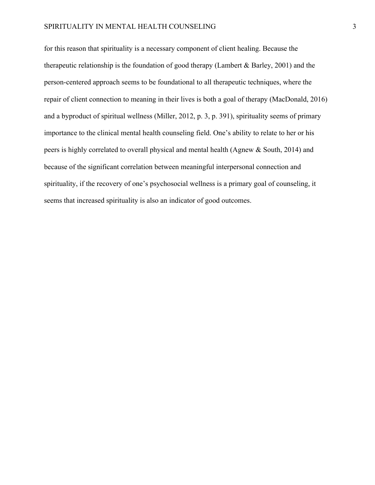#### SPIRITUALITY IN MENTAL HEALTH COUNSELING  $\overline{3}$

for this reason that spirituality is a necessary component of client healing. Because the therapeutic relationship is the foundation of good therapy (Lambert & Barley, 2001) and the person-centered approach seems to be foundational to all therapeutic techniques, where the repair of client connection to meaning in their lives is both a goal of therapy (MacDonald, 2016) and a byproduct of spiritual wellness (Miller, 2012, p. 3, p. 391), spirituality seems of primary importance to the clinical mental health counseling field. One's ability to relate to her or his peers is highly correlated to overall physical and mental health (Agnew & South, 2014) and because of the significant correlation between meaningful interpersonal connection and spirituality, if the recovery of one's psychosocial wellness is a primary goal of counseling, it seems that increased spirituality is also an indicator of good outcomes.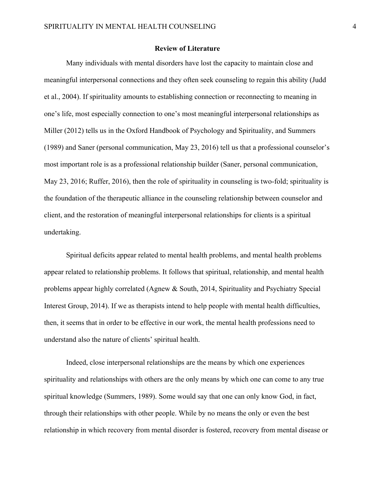## **Review of Literature**

Many individuals with mental disorders have lost the capacity to maintain close and meaningful interpersonal connections and they often seek counseling to regain this ability (Judd et al., 2004). If spirituality amounts to establishing connection or reconnecting to meaning in one's life, most especially connection to one's most meaningful interpersonal relationships as Miller (2012) tells us in the Oxford Handbook of Psychology and Spirituality, and Summers (1989) and Saner (personal communication, May 23, 2016) tell us that a professional counselor's most important role is as a professional relationship builder (Saner, personal communication, May 23, 2016; Ruffer, 2016), then the role of spirituality in counseling is two-fold; spirituality is the foundation of the therapeutic alliance in the counseling relationship between counselor and client, and the restoration of meaningful interpersonal relationships for clients is a spiritual undertaking.

Spiritual deficits appear related to mental health problems, and mental health problems appear related to relationship problems. It follows that spiritual, relationship, and mental health problems appear highly correlated (Agnew & South, 2014, Spirituality and Psychiatry Special Interest Group, 2014). If we as therapists intend to help people with mental health difficulties, then, it seems that in order to be effective in our work, the mental health professions need to understand also the nature of clients' spiritual health.

Indeed, close interpersonal relationships are the means by which one experiences spirituality and relationships with others are the only means by which one can come to any true spiritual knowledge (Summers, 1989). Some would say that one can only know God, in fact, through their relationships with other people. While by no means the only or even the best relationship in which recovery from mental disorder is fostered, recovery from mental disease or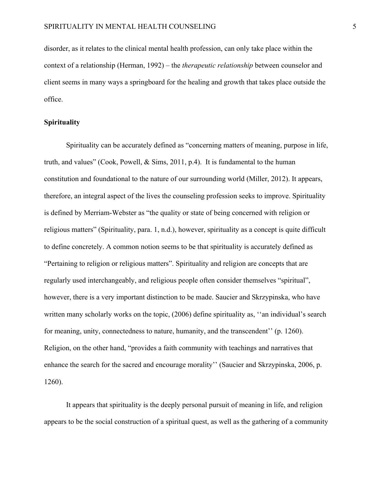disorder, as it relates to the clinical mental health profession, can only take place within the context of a relationship (Herman, 1992) – the *therapeutic relationship* between counselor and client seems in many ways a springboard for the healing and growth that takes place outside the office.

#### **Spirituality**

Spirituality can be accurately defined as "concerning matters of meaning, purpose in life, truth, and values" (Cook, Powell,  $\&$  Sims, 2011, p.4). It is fundamental to the human constitution and foundational to the nature of our surrounding world (Miller, 2012). It appears, therefore, an integral aspect of the lives the counseling profession seeks to improve. Spirituality is defined by Merriam-Webster as "the quality or state of being concerned with religion or religious matters" (Spirituality, para. 1, n.d.), however, spirituality as a concept is quite difficult to define concretely. A common notion seems to be that spirituality is accurately defined as "Pertaining to religion or religious matters". Spirituality and religion are concepts that are regularly used interchangeably, and religious people often consider themselves "spiritual", however, there is a very important distinction to be made. Saucier and Skrzypinska, who have written many scholarly works on the topic, (2006) define spirituality as, "an individual's search for meaning, unity, connectedness to nature, humanity, and the transcendent'' (p. 1260). Religion, on the other hand, "provides a faith community with teachings and narratives that enhance the search for the sacred and encourage morality'' (Saucier and Skrzypinska, 2006, p. 1260).

It appears that spirituality is the deeply personal pursuit of meaning in life, and religion appears to be the social construction of a spiritual quest, as well as the gathering of a community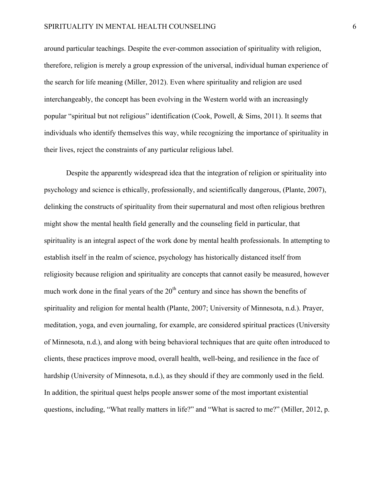#### SPIRITUALITY IN MENTAL HEALTH COUNSELING 6

around particular teachings. Despite the ever-common association of spirituality with religion, therefore, religion is merely a group expression of the universal, individual human experience of the search for life meaning (Miller, 2012). Even where spirituality and religion are used interchangeably, the concept has been evolving in the Western world with an increasingly popular "spiritual but not religious" identification (Cook, Powell, & Sims, 2011). It seems that individuals who identify themselves this way, while recognizing the importance of spirituality in their lives, reject the constraints of any particular religious label.

Despite the apparently widespread idea that the integration of religion or spirituality into psychology and science is ethically, professionally, and scientifically dangerous, (Plante, 2007), delinking the constructs of spirituality from their supernatural and most often religious brethren might show the mental health field generally and the counseling field in particular, that spirituality is an integral aspect of the work done by mental health professionals. In attempting to establish itself in the realm of science, psychology has historically distanced itself from religiosity because religion and spirituality are concepts that cannot easily be measured, however much work done in the final years of the  $20<sup>th</sup>$  century and since has shown the benefits of spirituality and religion for mental health (Plante, 2007; University of Minnesota, n.d.). Prayer, meditation, yoga, and even journaling, for example, are considered spiritual practices (University of Minnesota, n.d.), and along with being behavioral techniques that are quite often introduced to clients, these practices improve mood, overall health, well-being, and resilience in the face of hardship (University of Minnesota, n.d.), as they should if they are commonly used in the field. In addition, the spiritual quest helps people answer some of the most important existential questions, including, "What really matters in life?" and "What is sacred to me?" (Miller, 2012, p.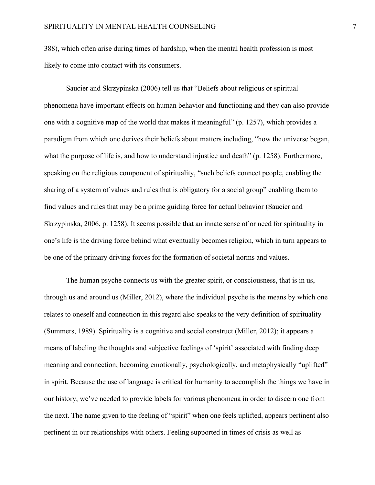388), which often arise during times of hardship, when the mental health profession is most likely to come into contact with its consumers.

Saucier and Skrzypinska (2006) tell us that "Beliefs about religious or spiritual phenomena have important effects on human behavior and functioning and they can also provide one with a cognitive map of the world that makes it meaningful" (p. 1257), which provides a paradigm from which one derives their beliefs about matters including, "how the universe began, what the purpose of life is, and how to understand injustice and death" (p. 1258). Furthermore, speaking on the religious component of spirituality, "such beliefs connect people, enabling the sharing of a system of values and rules that is obligatory for a social group" enabling them to find values and rules that may be a prime guiding force for actual behavior (Saucier and Skrzypinska, 2006, p. 1258). It seems possible that an innate sense of or need for spirituality in one's life is the driving force behind what eventually becomes religion, which in turn appears to be one of the primary driving forces for the formation of societal norms and values.

The human psyche connects us with the greater spirit, or consciousness, that is in us, through us and around us (Miller, 2012), where the individual psyche is the means by which one relates to oneself and connection in this regard also speaks to the very definition of spirituality (Summers, 1989). Spirituality is a cognitive and social construct (Miller, 2012); it appears a means of labeling the thoughts and subjective feelings of 'spirit' associated with finding deep meaning and connection; becoming emotionally, psychologically, and metaphysically "uplifted" in spirit. Because the use of language is critical for humanity to accomplish the things we have in our history, we've needed to provide labels for various phenomena in order to discern one from the next. The name given to the feeling of "spirit" when one feels uplifted, appears pertinent also pertinent in our relationships with others. Feeling supported in times of crisis as well as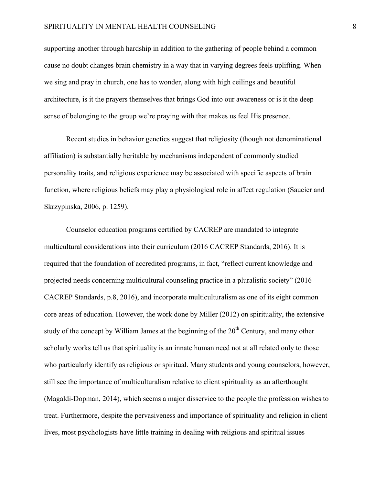#### SPIRITUALITY IN MENTAL HEALTH COUNSELING 8

supporting another through hardship in addition to the gathering of people behind a common cause no doubt changes brain chemistry in a way that in varying degrees feels uplifting. When we sing and pray in church, one has to wonder, along with high ceilings and beautiful architecture, is it the prayers themselves that brings God into our awareness or is it the deep sense of belonging to the group we're praying with that makes us feel His presence.

Recent studies in behavior genetics suggest that religiosity (though not denominational affiliation) is substantially heritable by mechanisms independent of commonly studied personality traits, and religious experience may be associated with specific aspects of brain function, where religious beliefs may play a physiological role in affect regulation (Saucier and Skrzypinska, 2006, p. 1259).

Counselor education programs certified by CACREP are mandated to integrate multicultural considerations into their curriculum (2016 CACREP Standards, 2016). It is required that the foundation of accredited programs, in fact, "reflect current knowledge and projected needs concerning multicultural counseling practice in a pluralistic society" (2016 CACREP Standards, p.8, 2016), and incorporate multiculturalism as one of its eight common core areas of education. However, the work done by Miller (2012) on spirituality, the extensive study of the concept by William James at the beginning of the 20<sup>th</sup> Century, and many other scholarly works tell us that spirituality is an innate human need not at all related only to those who particularly identify as religious or spiritual. Many students and young counselors, however, still see the importance of multiculturalism relative to client spirituality as an afterthought (Magaldi-Dopman, 2014), which seems a major disservice to the people the profession wishes to treat. Furthermore, despite the pervasiveness and importance of spirituality and religion in client lives, most psychologists have little training in dealing with religious and spiritual issues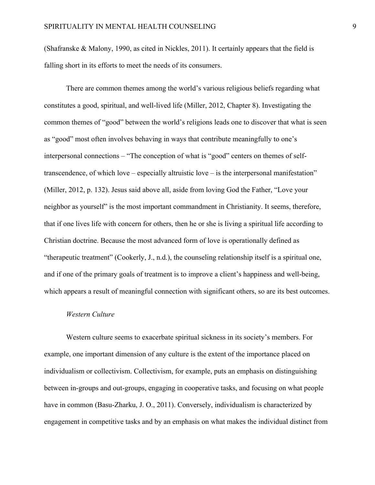(Shafranske & Malony, 1990, as cited in Nickles, 2011). It certainly appears that the field is falling short in its efforts to meet the needs of its consumers.

There are common themes among the world's various religious beliefs regarding what constitutes a good, spiritual, and well-lived life (Miller, 2012, Chapter 8). Investigating the common themes of "good" between the world's religions leads one to discover that what is seen as "good" most often involves behaving in ways that contribute meaningfully to one's interpersonal connections – "The conception of what is "good" centers on themes of selftranscendence, of which love – especially altruistic love – is the interpersonal manifestation" (Miller, 2012, p. 132). Jesus said above all, aside from loving God the Father, "Love your neighbor as yourself" is the most important commandment in Christianity. It seems, therefore, that if one lives life with concern for others, then he or she is living a spiritual life according to Christian doctrine. Because the most advanced form of love is operationally defined as "therapeutic treatment" (Cookerly, J., n.d.), the counseling relationship itself is a spiritual one, and if one of the primary goals of treatment is to improve a client's happiness and well-being, which appears a result of meaningful connection with significant others, so are its best outcomes.

## *Western Culture*

Western culture seems to exacerbate spiritual sickness in its society's members. For example, one important dimension of any culture is the extent of the importance placed on individualism or collectivism. Collectivism, for example, puts an emphasis on distinguishing between in-groups and out-groups, engaging in cooperative tasks, and focusing on what people have in common (Basu-Zharku, J. O., 2011). Conversely, individualism is characterized by engagement in competitive tasks and by an emphasis on what makes the individual distinct from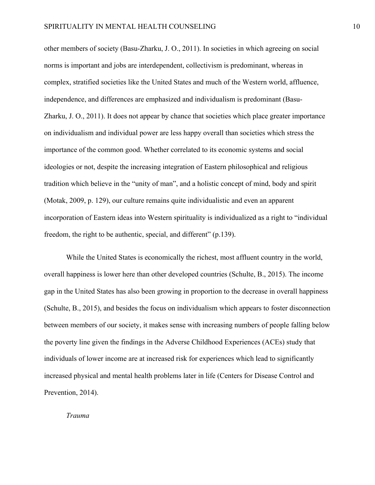other members of society (Basu-Zharku, J. O., 2011). In societies in which agreeing on social norms is important and jobs are interdependent, collectivism is predominant, whereas in complex, stratified societies like the United States and much of the Western world, affluence, independence, and differences are emphasized and individualism is predominant (Basu-Zharku, J. O., 2011). It does not appear by chance that societies which place greater importance on individualism and individual power are less happy overall than societies which stress the importance of the common good. Whether correlated to its economic systems and social ideologies or not, despite the increasing integration of Eastern philosophical and religious tradition which believe in the "unity of man", and a holistic concept of mind, body and spirit (Motak, 2009, p. 129), our culture remains quite individualistic and even an apparent incorporation of Eastern ideas into Western spirituality is individualized as a right to "individual freedom, the right to be authentic, special, and different" (p.139).

While the United States is economically the richest, most affluent country in the world, overall happiness is lower here than other developed countries (Schulte, B., 2015). The income gap in the United States has also been growing in proportion to the decrease in overall happiness (Schulte, B., 2015), and besides the focus on individualism which appears to foster disconnection between members of our society, it makes sense with increasing numbers of people falling below the poverty line given the findings in the Adverse Childhood Experiences (ACEs) study that individuals of lower income are at increased risk for experiences which lead to significantly increased physical and mental health problems later in life (Centers for Disease Control and Prevention, 2014).

#### *Trauma*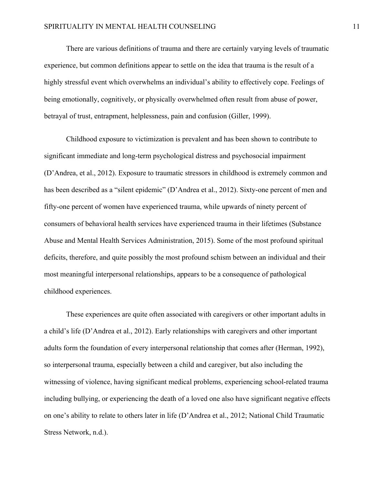There are various definitions of trauma and there are certainly varying levels of traumatic experience, but common definitions appear to settle on the idea that trauma is the result of a highly stressful event which overwhelms an individual's ability to effectively cope. Feelings of being emotionally, cognitively, or physically overwhelmed often result from abuse of power, betrayal of trust, entrapment, helplessness, pain and confusion (Giller, 1999).

Childhood exposure to victimization is prevalent and has been shown to contribute to significant immediate and long-term psychological distress and psychosocial impairment (D'Andrea, et al., 2012). Exposure to traumatic stressors in childhood is extremely common and has been described as a "silent epidemic" (D'Andrea et al., 2012). Sixty-one percent of men and fifty-one percent of women have experienced trauma, while upwards of ninety percent of consumers of behavioral health services have experienced trauma in their lifetimes (Substance Abuse and Mental Health Services Administration, 2015). Some of the most profound spiritual deficits, therefore, and quite possibly the most profound schism between an individual and their most meaningful interpersonal relationships, appears to be a consequence of pathological childhood experiences.

These experiences are quite often associated with caregivers or other important adults in a child's life (D'Andrea et al., 2012). Early relationships with caregivers and other important adults form the foundation of every interpersonal relationship that comes after (Herman, 1992), so interpersonal trauma, especially between a child and caregiver, but also including the witnessing of violence, having significant medical problems, experiencing school-related trauma including bullying, or experiencing the death of a loved one also have significant negative effects on one's ability to relate to others later in life (D'Andrea et al., 2012; National Child Traumatic Stress Network, n.d.).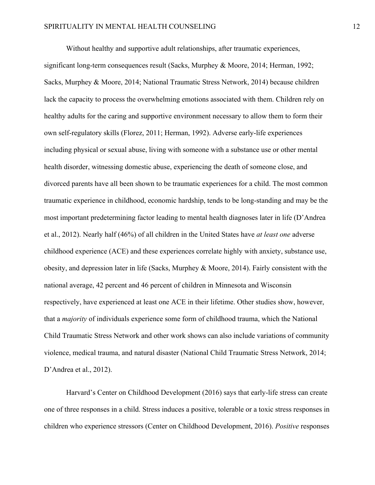Without healthy and supportive adult relationships, after traumatic experiences, significant long-term consequences result (Sacks, Murphey & Moore, 2014; Herman, 1992; Sacks, Murphey & Moore, 2014; National Traumatic Stress Network, 2014) because children lack the capacity to process the overwhelming emotions associated with them. Children rely on healthy adults for the caring and supportive environment necessary to allow them to form their own self-regulatory skills (Florez, 2011; Herman, 1992). Adverse early-life experiences including physical or sexual abuse, living with someone with a substance use or other mental health disorder, witnessing domestic abuse, experiencing the death of someone close, and divorced parents have all been shown to be traumatic experiences for a child. The most common traumatic experience in childhood, economic hardship, tends to be long-standing and may be the most important predetermining factor leading to mental health diagnoses later in life (D'Andrea et al., 2012). Nearly half (46%) of all children in the United States have *at least one* adverse childhood experience (ACE) and these experiences correlate highly with anxiety, substance use, obesity, and depression later in life (Sacks, Murphey & Moore, 2014). Fairly consistent with the national average, 42 percent and 46 percent of children in Minnesota and Wisconsin respectively, have experienced at least one ACE in their lifetime. Other studies show, however, that a *majority* of individuals experience some form of childhood trauma, which the National Child Traumatic Stress Network and other work shows can also include variations of community violence, medical trauma, and natural disaster (National Child Traumatic Stress Network, 2014; D'Andrea et al., 2012).

Harvard's Center on Childhood Development (2016) says that early-life stress can create one of three responses in a child. Stress induces a positive, tolerable or a toxic stress responses in children who experience stressors (Center on Childhood Development, 2016). *Positive* responses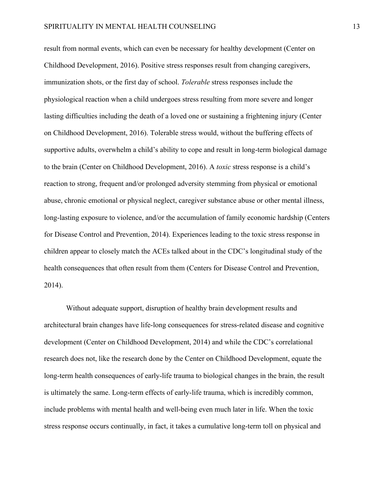result from normal events, which can even be necessary for healthy development (Center on Childhood Development, 2016). Positive stress responses result from changing caregivers, immunization shots, or the first day of school. *Tolerable* stress responses include the physiological reaction when a child undergoes stress resulting from more severe and longer lasting difficulties including the death of a loved one or sustaining a frightening injury (Center on Childhood Development, 2016). Tolerable stress would, without the buffering effects of supportive adults, overwhelm a child's ability to cope and result in long-term biological damage to the brain (Center on Childhood Development, 2016). A *toxic* stress response is a child's reaction to strong, frequent and/or prolonged adversity stemming from physical or emotional abuse, chronic emotional or physical neglect, caregiver substance abuse or other mental illness, long-lasting exposure to violence, and/or the accumulation of family economic hardship (Centers for Disease Control and Prevention, 2014). Experiences leading to the toxic stress response in children appear to closely match the ACEs talked about in the CDC's longitudinal study of the health consequences that often result from them (Centers for Disease Control and Prevention, 2014).

Without adequate support, disruption of healthy brain development results and architectural brain changes have life-long consequences for stress-related disease and cognitive development (Center on Childhood Development, 2014) and while the CDC's correlational research does not, like the research done by the Center on Childhood Development, equate the long-term health consequences of early-life trauma to biological changes in the brain, the result is ultimately the same. Long-term effects of early-life trauma, which is incredibly common, include problems with mental health and well-being even much later in life. When the toxic stress response occurs continually, in fact, it takes a cumulative long-term toll on physical and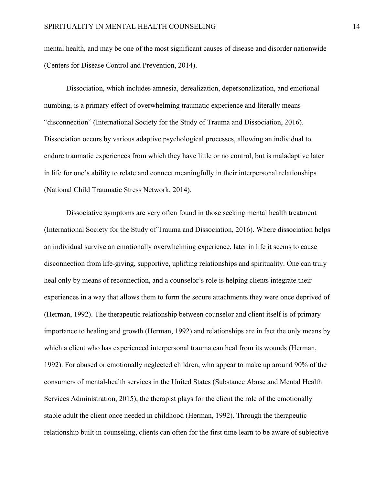mental health, and may be one of the most significant causes of disease and disorder nationwide (Centers for Disease Control and Prevention, 2014).

Dissociation, which includes amnesia, derealization, depersonalization, and emotional numbing, is a primary effect of overwhelming traumatic experience and literally means "disconnection" (International Society for the Study of Trauma and Dissociation, 2016). Dissociation occurs by various adaptive psychological processes, allowing an individual to endure traumatic experiences from which they have little or no control, but is maladaptive later in life for one's ability to relate and connect meaningfully in their interpersonal relationships (National Child Traumatic Stress Network, 2014).

Dissociative symptoms are very often found in those seeking mental health treatment (International Society for the Study of Trauma and Dissociation, 2016). Where dissociation helps an individual survive an emotionally overwhelming experience, later in life it seems to cause disconnection from life-giving, supportive, uplifting relationships and spirituality. One can truly heal only by means of reconnection, and a counselor's role is helping clients integrate their experiences in a way that allows them to form the secure attachments they were once deprived of (Herman, 1992). The therapeutic relationship between counselor and client itself is of primary importance to healing and growth (Herman, 1992) and relationships are in fact the only means by which a client who has experienced interpersonal trauma can heal from its wounds (Herman, 1992). For abused or emotionally neglected children, who appear to make up around 90% of the consumers of mental-health services in the United States (Substance Abuse and Mental Health Services Administration, 2015), the therapist plays for the client the role of the emotionally stable adult the client once needed in childhood (Herman, 1992). Through the therapeutic relationship built in counseling, clients can often for the first time learn to be aware of subjective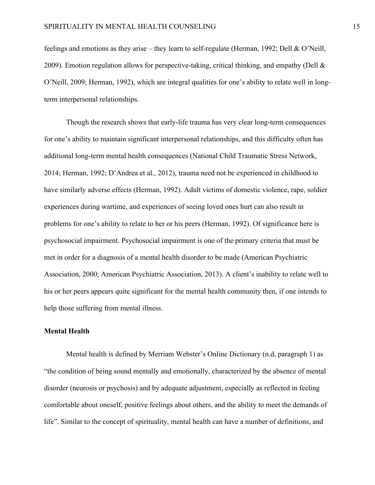feelings and emotions as they arise – they learn to self-regulate (Herman, 1992; Dell & O'Neill, 2009). Emotion regulation allows for perspective-taking, critical thinking, and empathy (Dell  $\&$ O'Neill, 2009; Herman, 1992), which are integral qualities for one's ability to relate well in longterm interpersonal relationships.

Though the research shows that early-life trauma has very clear long-term consequences for one's ability to maintain significant interpersonal relationships, and this difficulty often has additional long-term mental health consequences (National Child Traumatic Stress Network, 2014; Herman, 1992; D'Andrea et al., 2012), trauma need not be experienced in childhood to have similarly adverse effects (Herman, 1992). Adult victims of domestic violence, rape, soldier experiences during wartime, and experiences of seeing loved ones hurt can also result in problems for one's ability to relate to her or his peers (Herman, 1992). Of significance here is psychosocial impairment. Psychosocial impairment is one of the primary criteria that must be met in order for a diagnosis of a mental health disorder to be made (American Psychiatric Association, 2000; American Psychiatric Association, 2013). A client's inability to relate well to his or her peers appears quite significant for the mental health community then, if one intends to help those suffering from mental illness.

## **Mental Health**

Mental health is defined by Merriam Webster's Online Dictionary (n.d, paragraph 1) as "the condition of being sound mentally and emotionally, characterized by the absence of mental disorder (neurosis or psychosis) and by adequate adjustment, especially as reflected in feeling comfortable about oneself, positive feelings about others, and the ability to meet the demands of life". Similar to the concept of spirituality, mental health can have a number of definitions, and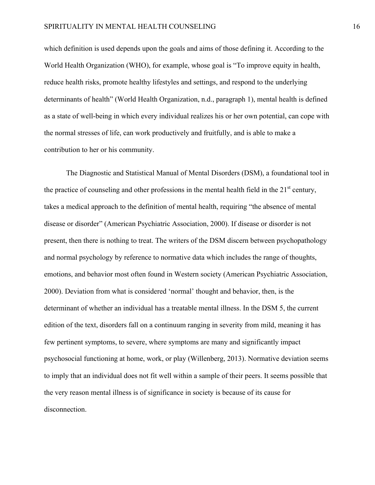which definition is used depends upon the goals and aims of those defining it. According to the World Health Organization (WHO), for example, whose goal is "To improve equity in health, reduce health risks, promote healthy lifestyles and settings, and respond to the underlying determinants of health" (World Health Organization, n.d., paragraph 1), mental health is defined as a state of well-being in which every individual realizes his or her own potential, can cope with the normal stresses of life, can work productively and fruitfully, and is able to make a contribution to her or his community.

The Diagnostic and Statistical Manual of Mental Disorders (DSM), a foundational tool in the practice of counseling and other professions in the mental health field in the  $21<sup>st</sup>$  century, takes a medical approach to the definition of mental health, requiring "the absence of mental disease or disorder" (American Psychiatric Association, 2000). If disease or disorder is not present, then there is nothing to treat. The writers of the DSM discern between psychopathology and normal psychology by reference to normative data which includes the range of thoughts, emotions, and behavior most often found in Western society (American Psychiatric Association, 2000). Deviation from what is considered 'normal' thought and behavior, then, is the determinant of whether an individual has a treatable mental illness. In the DSM 5, the current edition of the text, disorders fall on a continuum ranging in severity from mild, meaning it has few pertinent symptoms, to severe, where symptoms are many and significantly impact psychosocial functioning at home, work, or play (Willenberg, 2013). Normative deviation seems to imply that an individual does not fit well within a sample of their peers. It seems possible that the very reason mental illness is of significance in society is because of its cause for disconnection.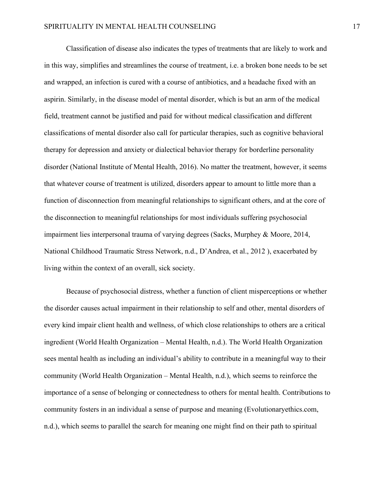Classification of disease also indicates the types of treatments that are likely to work and in this way, simplifies and streamlines the course of treatment, i.e. a broken bone needs to be set and wrapped, an infection is cured with a course of antibiotics, and a headache fixed with an aspirin. Similarly, in the disease model of mental disorder, which is but an arm of the medical field, treatment cannot be justified and paid for without medical classification and different classifications of mental disorder also call for particular therapies, such as cognitive behavioral therapy for depression and anxiety or dialectical behavior therapy for borderline personality disorder (National Institute of Mental Health, 2016). No matter the treatment, however, it seems that whatever course of treatment is utilized, disorders appear to amount to little more than a function of disconnection from meaningful relationships to significant others, and at the core of the disconnection to meaningful relationships for most individuals suffering psychosocial impairment lies interpersonal trauma of varying degrees (Sacks, Murphey & Moore, 2014, National Childhood Traumatic Stress Network, n.d., D'Andrea, et al., 2012 ), exacerbated by living within the context of an overall, sick society.

Because of psychosocial distress, whether a function of client misperceptions or whether the disorder causes actual impairment in their relationship to self and other, mental disorders of every kind impair client health and wellness, of which close relationships to others are a critical ingredient (World Health Organization – Mental Health, n.d.). The World Health Organization sees mental health as including an individual's ability to contribute in a meaningful way to their community (World Health Organization – Mental Health, n.d.), which seems to reinforce the importance of a sense of belonging or connectedness to others for mental health. Contributions to community fosters in an individual a sense of purpose and meaning (Evolutionaryethics.com, n.d.), which seems to parallel the search for meaning one might find on their path to spiritual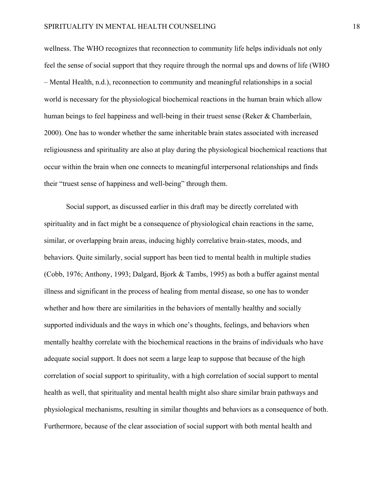wellness. The WHO recognizes that reconnection to community life helps individuals not only feel the sense of social support that they require through the normal ups and downs of life (WHO – Mental Health, n.d.), reconnection to community and meaningful relationships in a social world is necessary for the physiological biochemical reactions in the human brain which allow human beings to feel happiness and well-being in their truest sense (Reker & Chamberlain, 2000). One has to wonder whether the same inheritable brain states associated with increased religiousness and spirituality are also at play during the physiological biochemical reactions that occur within the brain when one connects to meaningful interpersonal relationships and finds their "truest sense of happiness and well-being" through them.

Social support, as discussed earlier in this draft may be directly correlated with spirituality and in fact might be a consequence of physiological chain reactions in the same, similar, or overlapping brain areas, inducing highly correlative brain-states, moods, and behaviors. Quite similarly, social support has been tied to mental health in multiple studies (Cobb, 1976; Anthony, 1993; Dalgard, Bjork & Tambs, 1995) as both a buffer against mental illness and significant in the process of healing from mental disease, so one has to wonder whether and how there are similarities in the behaviors of mentally healthy and socially supported individuals and the ways in which one's thoughts, feelings, and behaviors when mentally healthy correlate with the biochemical reactions in the brains of individuals who have adequate social support. It does not seem a large leap to suppose that because of the high correlation of social support to spirituality, with a high correlation of social support to mental health as well, that spirituality and mental health might also share similar brain pathways and physiological mechanisms, resulting in similar thoughts and behaviors as a consequence of both. Furthermore, because of the clear association of social support with both mental health and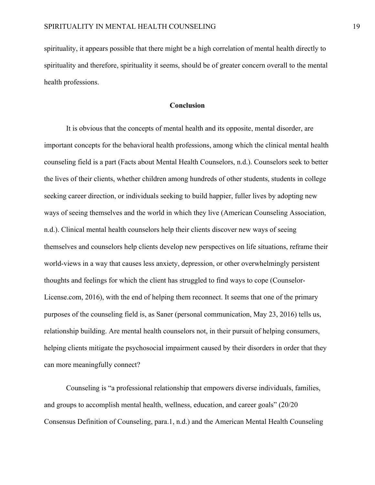spirituality, it appears possible that there might be a high correlation of mental health directly to spirituality and therefore, spirituality it seems, should be of greater concern overall to the mental health professions.

## **Conclusion**

It is obvious that the concepts of mental health and its opposite, mental disorder, are important concepts for the behavioral health professions, among which the clinical mental health counseling field is a part (Facts about Mental Health Counselors, n.d.). Counselors seek to better the lives of their clients, whether children among hundreds of other students, students in college seeking career direction, or individuals seeking to build happier, fuller lives by adopting new ways of seeing themselves and the world in which they live (American Counseling Association, n.d.). Clinical mental health counselors help their clients discover new ways of seeing themselves and counselors help clients develop new perspectives on life situations, reframe their world-views in a way that causes less anxiety, depression, or other overwhelmingly persistent thoughts and feelings for which the client has struggled to find ways to cope (Counselor-License.com, 2016), with the end of helping them reconnect. It seems that one of the primary purposes of the counseling field is, as Saner (personal communication, May 23, 2016) tells us, relationship building. Are mental health counselors not, in their pursuit of helping consumers, helping clients mitigate the psychosocial impairment caused by their disorders in order that they can more meaningfully connect?

Counseling is "a professional relationship that empowers diverse individuals, families, and groups to accomplish mental health, wellness, education, and career goals" (20/20 Consensus Definition of Counseling, para.1, n.d.) and the American Mental Health Counseling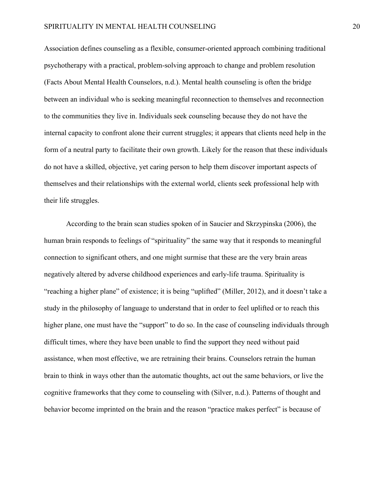Association defines counseling as a flexible, consumer-oriented approach combining traditional psychotherapy with a practical, problem-solving approach to change and problem resolution (Facts About Mental Health Counselors, n.d.). Mental health counseling is often the bridge between an individual who is seeking meaningful reconnection to themselves and reconnection to the communities they live in. Individuals seek counseling because they do not have the internal capacity to confront alone their current struggles; it appears that clients need help in the form of a neutral party to facilitate their own growth. Likely for the reason that these individuals do not have a skilled, objective, yet caring person to help them discover important aspects of themselves and their relationships with the external world, clients seek professional help with their life struggles.

According to the brain scan studies spoken of in Saucier and Skrzypinska (2006), the human brain responds to feelings of "spirituality" the same way that it responds to meaningful connection to significant others, and one might surmise that these are the very brain areas negatively altered by adverse childhood experiences and early-life trauma. Spirituality is "reaching a higher plane" of existence; it is being "uplifted" (Miller, 2012), and it doesn't take a study in the philosophy of language to understand that in order to feel uplifted or to reach this higher plane, one must have the "support" to do so. In the case of counseling individuals through difficult times, where they have been unable to find the support they need without paid assistance, when most effective, we are retraining their brains. Counselors retrain the human brain to think in ways other than the automatic thoughts, act out the same behaviors, or live the cognitive frameworks that they come to counseling with (Silver, n.d.). Patterns of thought and behavior become imprinted on the brain and the reason "practice makes perfect" is because of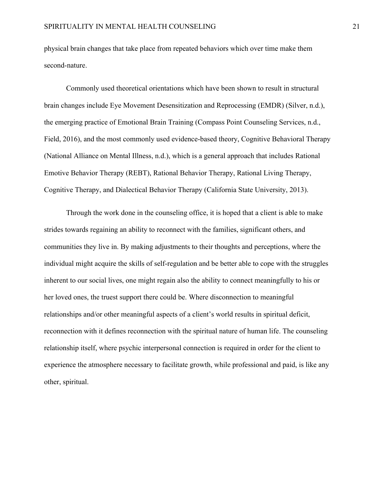physical brain changes that take place from repeated behaviors which over time make them second-nature.

Commonly used theoretical orientations which have been shown to result in structural brain changes include Eye Movement Desensitization and Reprocessing (EMDR) (Silver, n.d.), the emerging practice of Emotional Brain Training (Compass Point Counseling Services, n.d., Field, 2016), and the most commonly used evidence-based theory, Cognitive Behavioral Therapy (National Alliance on Mental Illness, n.d.), which is a general approach that includes Rational Emotive Behavior Therapy (REBT), Rational Behavior Therapy, Rational Living Therapy, Cognitive Therapy, and Dialectical Behavior Therapy (California State University, 2013).

Through the work done in the counseling office, it is hoped that a client is able to make strides towards regaining an ability to reconnect with the families, significant others, and communities they live in. By making adjustments to their thoughts and perceptions, where the individual might acquire the skills of self-regulation and be better able to cope with the struggles inherent to our social lives, one might regain also the ability to connect meaningfully to his or her loved ones, the truest support there could be. Where disconnection to meaningful relationships and/or other meaningful aspects of a client's world results in spiritual deficit, reconnection with it defines reconnection with the spiritual nature of human life. The counseling relationship itself, where psychic interpersonal connection is required in order for the client to experience the atmosphere necessary to facilitate growth, while professional and paid, is like any other, spiritual.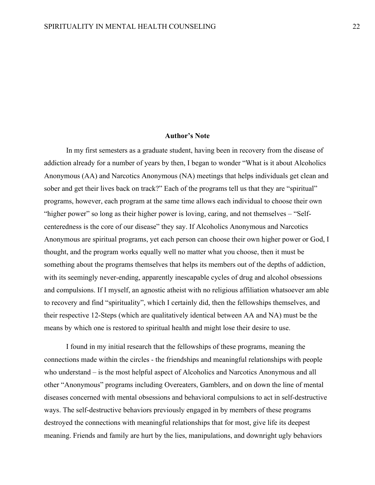#### **Author's Note**

In my first semesters as a graduate student, having been in recovery from the disease of addiction already for a number of years by then, I began to wonder "What is it about Alcoholics Anonymous (AA) and Narcotics Anonymous (NA) meetings that helps individuals get clean and sober and get their lives back on track?" Each of the programs tell us that they are "spiritual" programs, however, each program at the same time allows each individual to choose their own "higher power" so long as their higher power is loving, caring, and not themselves – "Selfcenteredness is the core of our disease" they say. If Alcoholics Anonymous and Narcotics Anonymous are spiritual programs, yet each person can choose their own higher power or God, I thought, and the program works equally well no matter what you choose, then it must be something about the programs themselves that helps its members out of the depths of addiction, with its seemingly never-ending, apparently inescapable cycles of drug and alcohol obsessions and compulsions. If I myself, an agnostic atheist with no religious affiliation whatsoever am able to recovery and find "spirituality", which I certainly did, then the fellowships themselves, and their respective 12-Steps (which are qualitatively identical between AA and NA) must be the means by which one is restored to spiritual health and might lose their desire to use.

I found in my initial research that the fellowships of these programs, meaning the connections made within the circles - the friendships and meaningful relationships with people who understand – is the most helpful aspect of Alcoholics and Narcotics Anonymous and all other "Anonymous" programs including Overeaters, Gamblers, and on down the line of mental diseases concerned with mental obsessions and behavioral compulsions to act in self-destructive ways. The self-destructive behaviors previously engaged in by members of these programs destroyed the connections with meaningful relationships that for most, give life its deepest meaning. Friends and family are hurt by the lies, manipulations, and downright ugly behaviors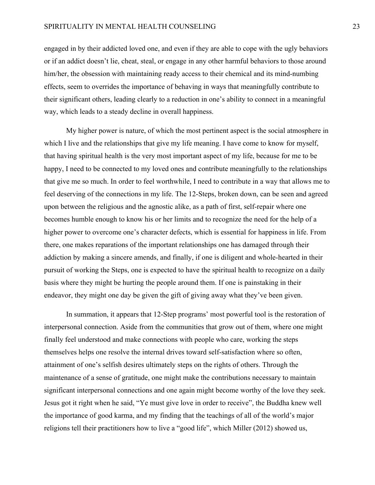#### SPIRITUALITY IN MENTAL HEALTH COUNSELING 23

engaged in by their addicted loved one, and even if they are able to cope with the ugly behaviors or if an addict doesn't lie, cheat, steal, or engage in any other harmful behaviors to those around him/her, the obsession with maintaining ready access to their chemical and its mind-numbing effects, seem to overrides the importance of behaving in ways that meaningfully contribute to their significant others, leading clearly to a reduction in one's ability to connect in a meaningful way, which leads to a steady decline in overall happiness.

My higher power is nature, of which the most pertinent aspect is the social atmosphere in which I live and the relationships that give my life meaning. I have come to know for myself, that having spiritual health is the very most important aspect of my life, because for me to be happy, I need to be connected to my loved ones and contribute meaningfully to the relationships that give me so much. In order to feel worthwhile, I need to contribute in a way that allows me to feel deserving of the connections in my life. The 12-Steps, broken down, can be seen and agreed upon between the religious and the agnostic alike, as a path of first, self-repair where one becomes humble enough to know his or her limits and to recognize the need for the help of a higher power to overcome one's character defects, which is essential for happiness in life. From there, one makes reparations of the important relationships one has damaged through their addiction by making a sincere amends, and finally, if one is diligent and whole-hearted in their pursuit of working the Steps, one is expected to have the spiritual health to recognize on a daily basis where they might be hurting the people around them. If one is painstaking in their endeavor, they might one day be given the gift of giving away what they've been given.

In summation, it appears that 12-Step programs' most powerful tool is the restoration of interpersonal connection. Aside from the communities that grow out of them, where one might finally feel understood and make connections with people who care, working the steps themselves helps one resolve the internal drives toward self-satisfaction where so often, attainment of one's selfish desires ultimately steps on the rights of others. Through the maintenance of a sense of gratitude, one might make the contributions necessary to maintain significant interpersonal connections and one again might become worthy of the love they seek. Jesus got it right when he said, "Ye must give love in order to receive", the Buddha knew well the importance of good karma, and my finding that the teachings of all of the world's major religions tell their practitioners how to live a "good life", which Miller (2012) showed us,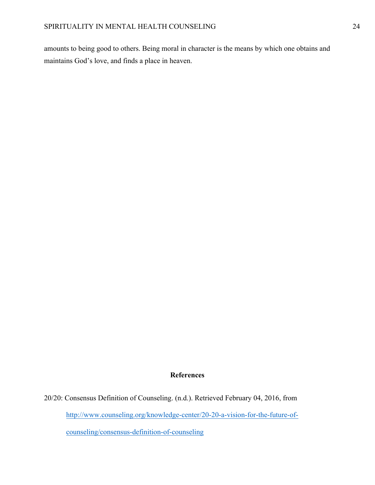amounts to being good to others. Being moral in character is the means by which one obtains and maintains God's love, and finds a place in heaven.

## **References**

20/20: Consensus Definition of Counseling. (n.d.). Retrieved February 04, 2016, from http://www.counseling.org/knowledge-center/20-20-a-vision-for-the-future-ofcounseling/consensus-definition-of-counseling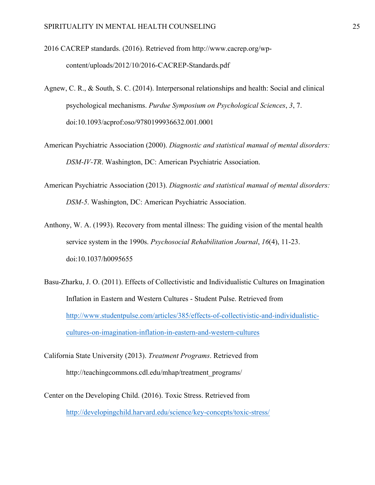2016 CACREP standards. (2016). Retrieved from http://www.cacrep.org/wpcontent/uploads/2012/10/2016-CACREP-Standards.pdf

- Agnew, C. R., & South, S. C. (2014). Interpersonal relationships and health: Social and clinical psychological mechanisms. *Purdue Symposium on Psychological Sciences*, *3*, 7. doi:10.1093/acprof:oso/9780199936632.001.0001
- American Psychiatric Association (2000). *Diagnostic and statistical manual of mental disorders: DSM-IV-TR*. Washington, DC: American Psychiatric Association.
- American Psychiatric Association (2013). *Diagnostic and statistical manual of mental disorders: DSM-5*. Washington, DC: American Psychiatric Association.
- Anthony, W. A. (1993). Recovery from mental illness: The guiding vision of the mental health service system in the 1990s. *Psychosocial Rehabilitation Journal*, *16*(4), 11-23. doi:10.1037/h0095655
- Basu-Zharku, J. O. (2011). Effects of Collectivistic and Individualistic Cultures on Imagination Inflation in Eastern and Western Cultures - Student Pulse. Retrieved from http://www.studentpulse.com/articles/385/effects-of-collectivistic-and-individualisticcultures-on-imagination-inflation-in-eastern-and-western-cultures
- California State University (2013). *Treatment Programs*. Retrieved from http://teachingcommons.cdl.edu/mhap/treatment\_programs/
- Center on the Developing Child. (2016). Toxic Stress. Retrieved from http://developingchild.harvard.edu/science/key-concepts/toxic-stress/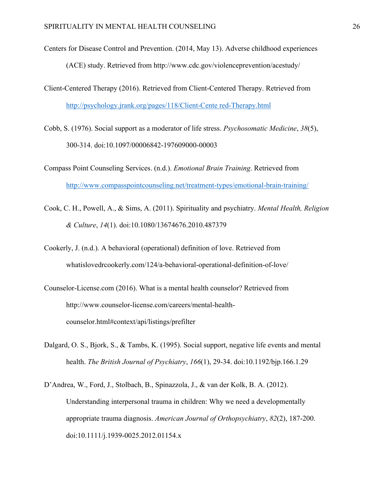- Centers for Disease Control and Prevention. (2014, May 13). Adverse childhood experiences (ACE) study. Retrieved from http://www.cdc.gov/violenceprevention/acestudy/
- Client-Centered Therapy (2016). Retrieved from Client-Centered Therapy. Retrieved from http://psychology.jrank.org/pages/118/Client-Cente red-Therapy.html
- Cobb, S. (1976). Social support as a moderator of life stress. *Psychosomatic Medicine*, *38*(5), 300-314. doi:10.1097/00006842-197609000-00003
- Compass Point Counseling Services. (n.d.). *Emotional Brain Training*. Retrieved from http://www.compasspointcounseling.net/treatment-types/emotional-brain-training/
- Cook, C. H., Powell, A., & Sims, A. (2011). Spirituality and psychiatry. *Mental Health, Religion & Culture*, *14*(1). doi:10.1080/13674676.2010.487379
- Cookerly, J. (n.d.). A behavioral (operational) definition of love. Retrieved from whatislovedrcookerly.com/124/a-behavioral-operational-definition-of-love/
- Counselor-License.com (2016). What is a mental health counselor? Retrieved from http://www.counselor-license.com/careers/mental-healthcounselor.html#context/api/listings/prefilter
- Dalgard, O. S., Bjork, S., & Tambs, K. (1995). Social support, negative life events and mental health. *The British Journal of Psychiatry*, *166*(1), 29-34. doi:10.1192/bjp.166.1.29
- D'Andrea, W., Ford, J., Stolbach, B., Spinazzola, J., & van der Kolk, B. A. (2012). Understanding interpersonal trauma in children: Why we need a developmentally appropriate trauma diagnosis. *American Journal of Orthopsychiatry*, *82*(2), 187-200. doi:10.1111/j.1939-0025.2012.01154.x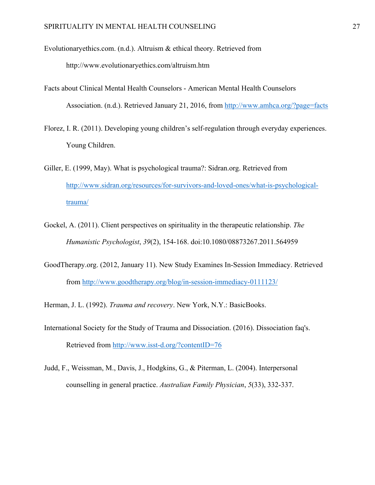Evolutionaryethics.com. (n.d.). Altruism & ethical theory. Retrieved from

http://www.evolutionaryethics.com/altruism.htm

- Facts about Clinical Mental Health Counselors American Mental Health Counselors Association. (n.d.). Retrieved January 21, 2016, from http://www.amhca.org/?page=facts
- Florez, I. R. (2011). Developing young children's self-regulation through everyday experiences. Young Children.
- Giller, E. (1999, May). What is psychological trauma?: Sidran.org. Retrieved from http://www.sidran.org/resources/for-survivors-and-loved-ones/what-is-psychologicaltrauma/
- Gockel, A. (2011). Client perspectives on spirituality in the therapeutic relationship. *The Humanistic Psychologist*, *39*(2), 154-168. doi:10.1080/08873267.2011.564959
- GoodTherapy.org. (2012, January 11). New Study Examines In-Session Immediacy. Retrieved from http://www.goodtherapy.org/blog/in-session-immediacy-0111123/
- Herman, J. L. (1992). *Trauma and recovery*. New York, N.Y.: BasicBooks.
- International Society for the Study of Trauma and Dissociation. (2016). Dissociation faq's. Retrieved from http://www.isst-d.org/?contentID=76
- Judd, F., Weissman, M., Davis, J., Hodgkins, G., & Piterman, L. (2004). Interpersonal counselling in general practice. *Australian Family Physician*, *5*(33), 332-337.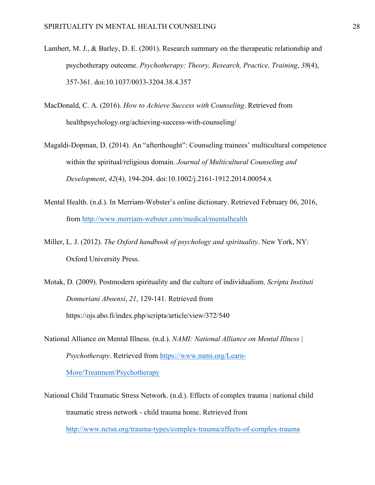- Lambert, M. J., & Barley, D. E. (2001). Research summary on the therapeutic relationship and psychotherapy outcome. *Psychotherapy: Theory, Research, Practice, Training*, *38*(4), 357-361. doi:10.1037/0033-3204.38.4.357
- MacDonald, C. A. (2016). *How to Achieve Success with Counseling*. Retrieved from healthpsychology.org/achieving-success-with-counseling/
- Magaldi-Dopman, D. (2014). An "afterthought": Counseling trainees' multicultural competence within the spiritual/religious domain. *Journal of Multicultural Counseling and Development*, *42*(4), 194-204. doi:10.1002/j.2161-1912.2014.00054.x
- Mental Health. (n.d.). In Merriam-Webster's online dictionary. Retrieved February 06, 2016, from http://www.merriam-webster.com/medical/mentalhealth
- Miller, L. J. (2012). *The Oxford handbook of psychology and spirituality*. New York, NY: Oxford University Press.
- Motak, D. (2009). Postmodern spirituality and the culture of individualism. *Scripta Instituti Donneriani Aboensi*, *21*, 129-141. Retrieved from https://ojs.abo.fi/index.php/scripta/article/view/372/540
- National Alliance on Mental Illness. (n.d.). *NAMI: National Alliance on Mental Illness | Psychotherapy*. Retrieved from https://www.nami.org/Learn-More/Treatment/Psychotherapy
- National Child Traumatic Stress Network. (n.d.). Effects of complex trauma | national child traumatic stress network - child trauma home. Retrieved from http://www.nctsn.org/trauma-types/complex-trauma/effects-of-complex-trauma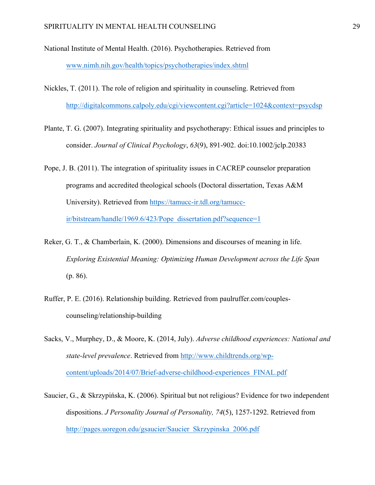National Institute of Mental Health. (2016). Psychotherapies. Retrieved from www.nimh.nih.gov/health/topics/psychotherapies/index.shtml

- Nickles, T. (2011). The role of religion and spirituality in counseling. Retrieved from http://digitalcommons.calpoly.edu/cgi/viewcontent.cgi?article=1024&context=psycdsp
- Plante, T. G. (2007). Integrating spirituality and psychotherapy: Ethical issues and principles to consider. *Journal of Clinical Psychology*, *63*(9), 891-902. doi:10.1002/jclp.20383
- Pope, J. B. (2011). The integration of spirituality issues in CACREP counselor preparation programs and accredited theological schools (Doctoral dissertation, Texas A&M University). Retrieved from https://tamucc-ir.tdl.org/tamuccir/bitstream/handle/1969.6/423/Pope\_dissertation.pdf?sequence=1
- Reker, G. T., & Chamberlain, K. (2000). Dimensions and discourses of meaning in life. *Exploring Existential Meaning: Optimizing Human Development across the Life Span* (p. 86).
- Ruffer, P. E. (2016). Relationship building. Retrieved from paulruffer.com/couplescounseling/relationship-building
- Sacks, V., Murphey, D., & Moore, K. (2014, July). *Adverse childhood experiences: National and state-level prevalence*. Retrieved from http://www.childtrends.org/wpcontent/uploads/2014/07/Brief-adverse-childhood-experiences\_FINAL.pdf
- Saucier, G., & Skrzypińska, K. (2006). Spiritual but not religious? Evidence for two independent dispositions. *J Personality Journal of Personality, 74*(5), 1257-1292. Retrieved from http://pages.uoregon.edu/gsaucier/Saucier\_Skrzypinska\_2006.pdf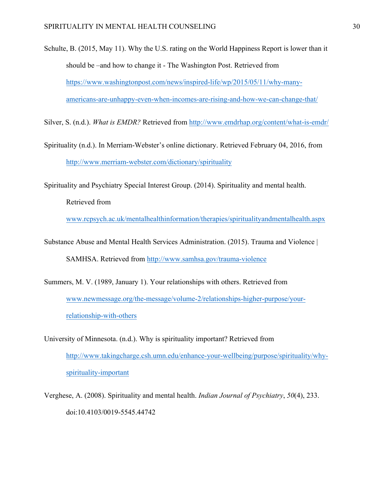Schulte, B. (2015, May 11). Why the U.S. rating on the World Happiness Report is lower than it should be –and how to change it - The Washington Post. Retrieved from https://www.washingtonpost.com/news/inspired-life/wp/2015/05/11/why-manyamericans-are-unhappy-even-when-incomes-are-rising-and-how-we-can-change-that/

Silver, S. (n.d.). *What is EMDR?* Retrieved from http://www.emdrhap.org/content/what-is-emdr/

Spirituality (n.d.). In Merriam-Webster's online dictionary. Retrieved February 04, 2016, from http://www.merriam-webster.com/dictionary/spirituality

Spirituality and Psychiatry Special Interest Group. (2014). Spirituality and mental health.

Retrieved from

www.rcpsych.ac.uk/mentalhealthinformation/therapies/spiritualityandmentalhealth.aspx

- Substance Abuse and Mental Health Services Administration. (2015). Trauma and Violence | SAMHSA. Retrieved from http://www.samhsa.gov/trauma-violence
- Summers, M. V. (1989, January 1). Your relationships with others. Retrieved from www.newmessage.org/the-message/volume-2/relationships-higher-purpose/yourrelationship-with-others
- University of Minnesota. (n.d.). Why is spirituality important? Retrieved from http://www.takingcharge.csh.umn.edu/enhance-your-wellbeing/purpose/spirituality/whyspirituality-important
- Verghese, A. (2008). Spirituality and mental health. *Indian Journal of Psychiatry*, *50*(4), 233. doi:10.4103/0019-5545.44742